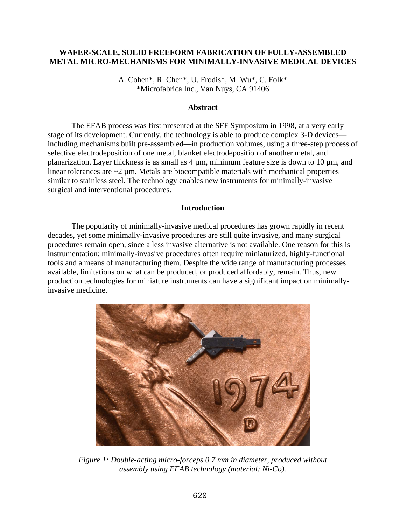## **WAFER-SCALE, SOLID FREEFORM FABRICATION OF FULLY-ASSEMBLED METAL MICRO-MECHANISMS FOR MINIMALLY-INVASIVE MEDICAL DEVICES**

A. Cohen\*, R. Chen\*, U. Frodis\*, M. Wu\*, C. Folk\* \*Microfabrica Inc., Van Nuys, CA 91406

#### **Abstract**

The EFAB process was first presented at the SFF Symposium in 1998, at a very early stage of its development. Currently, the technology is able to produce complex 3-D devices including mechanisms built pre-assembled—in production volumes, using a three-step process of selective electrodeposition of one metal, blanket electrodeposition of another metal, and planarization. Layer thickness is as small as  $4 \mu m$ , minimum feature size is down to 10  $\mu$ m, and linear tolerances are  $\sim$ 2  $\mu$ m. Metals are biocompatible materials with mechanical properties similar to stainless steel. The technology enables new instruments for minimally-invasive surgical and interventional procedures.

### **Introduction**

The popularity of minimally-invasive medical procedures has grown rapidly in recent decades, yet some minimally-invasive procedures are still quite invasive, and many surgical procedures remain open, since a less invasive alternative is not available. One reason for this is instrumentation: minimally-invasive procedures often require miniaturized, highly-functional tools and a means of manufacturing them. Despite the wide range of manufacturing processes available, limitations on what can be produced, or produced affordably, remain. Thus, new production technologies for miniature instruments can have a significant impact on minimallyinvasive medicine.



*Figure 1: Double-acting micro-forceps 0.7 mm in diameter, produced without assembly using EFAB technology (material: Ni-Co).*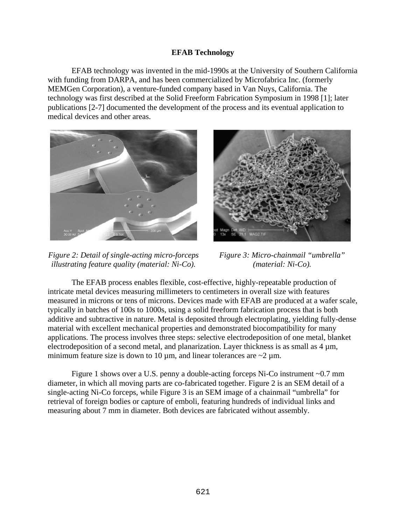## **EFAB Technology**

EFAB technology was invented in the mid-1990s at the University of Southern California with funding from DARPA, and has been commercialized by Microfabrica Inc. (formerly MEMGen Corporation), a venture-funded company based in Van Nuys, California. The technology was first described at the Solid Freeform Fabrication Symposium in 1998 [1]; later publications [2-7] documented the development of the process and its eventual application to medical devices and other areas.



*Figure 2: Detail of single-acting micro-forceps illustrating feature quality (material: Ni-Co).* 



*Figure 3: Micro-chainmail "umbrella" (material: Ni-Co).* 

The EFAB process enables flexible, cost-effective, highly-repeatable production of intricate metal devices measuring millimeters to centimeters in overall size with features measured in microns or tens of microns. Devices made with EFAB are produced at a wafer scale, typically in batches of 100s to 1000s, using a solid freeform fabrication process that is both additive and subtractive in nature. Metal is deposited through electroplating, yielding fully-dense material with excellent mechanical properties and demonstrated biocompatibility for many applications. The process involves three steps: selective electrodeposition of one metal, blanket electrodeposition of a second metal, and planarization. Layer thickness is as small as 4  $\mu$ m, minimum feature size is down to 10  $\mu$ m, and linear tolerances are ~2  $\mu$ m.

Figure 1 shows over a U.S. penny a double-acting forceps Ni-Co instrument ~0.7 mm diameter, in which all moving parts are co-fabricated together. Figure 2 is an SEM detail of a single-acting Ni-Co forceps, while Figure 3 is an SEM image of a chainmail "umbrella" for retrieval of foreign bodies or capture of emboli, featuring hundreds of individual links and measuring about 7 mm in diameter. Both devices are fabricated without assembly.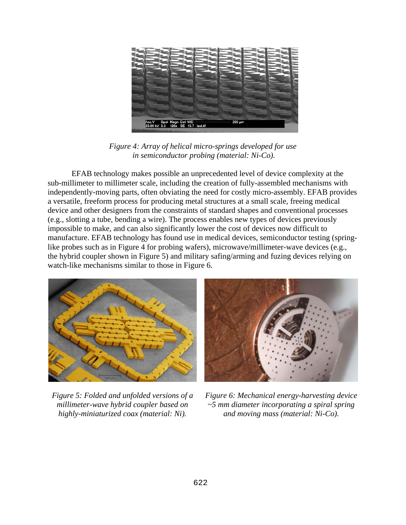

*Figure 4: Array of helical micro-springs developed for use in semiconductor probing (material: Ni-Co).* 

EFAB technology makes possible an unprecedented level of device complexity at the sub-millimeter to millimeter scale, including the creation of fully-assembled mechanisms with independently-moving parts, often obviating the need for costly micro-assembly. EFAB provides a versatile, freeform process for producing metal structures at a small scale, freeing medical device and other designers from the constraints of standard shapes and conventional processes (e.g., slotting a tube, bending a wire). The process enables new types of devices previously impossible to make, and can also significantly lower the cost of devices now difficult to manufacture. EFAB technology has found use in medical devices, semiconductor testing (springlike probes such as in Figure 4 for probing wafers), microwave/millimeter-wave devices (e.g., the hybrid coupler shown in Figure 5) and military safing/arming and fuzing devices relying on watch-like mechanisms similar to those in Figure 6.



*Figure 5: Folded and unfolded versions of a millimeter-wave hybrid coupler based on highly-miniaturized coax (material: Ni).* 



*Figure 6: Mechanical energy-harvesting device ~5 mm diameter incorporating a spiral spring and moving mass (material: Ni-Co).*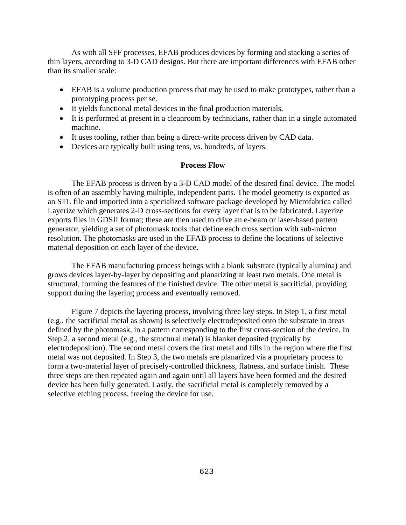As with all SFF processes, EFAB produces devices by forming and stacking a series of thin layers, according to 3-D CAD designs. But there are important differences with EFAB other than its smaller scale:

- EFAB is a volume production process that may be used to make prototypes, rather than a prototyping process per se.
- It yields functional metal devices in the final production materials.
- It is performed at present in a cleanroom by technicians, rather than in a single automated machine.
- It uses tooling, rather than being a direct-write process driven by CAD data.
- Devices are typically built using tens, vs. hundreds, of layers.

### **Process Flow**

The EFAB process is driven by a 3-D CAD model of the desired final device. The model is often of an assembly having multiple, independent parts. The model geometry is exported as an STL file and imported into a specialized software package developed by Microfabrica called Layerize which generates 2-D cross-sections for every layer that is to be fabricated. Layerize exports files in GDSII format; these are then used to drive an e-beam or laser-based pattern generator, yielding a set of photomask tools that define each cross section with sub-micron resolution. The photomasks are used in the EFAB process to define the locations of selective material deposition on each layer of the device.

The EFAB manufacturing process beings with a blank substrate (typically alumina) and grows devices layer-by-layer by depositing and planarizing at least two metals. One metal is structural, forming the features of the finished device. The other metal is sacrificial, providing support during the layering process and eventually removed.

Figure 7 depicts the layering process, involving three key steps. In Step 1, a first metal (e.g., the sacrificial metal as shown) is selectively electrodeposited onto the substrate in areas defined by the photomask, in a pattern corresponding to the first cross-section of the device. In Step 2, a second metal (e.g., the structural metal) is blanket deposited (typically by electrodeposition). The second metal covers the first metal and fills in the region where the first metal was not deposited. In Step 3, the two metals are planarized via a proprietary process to form a two-material layer of precisely-controlled thickness, flatness, and surface finish. These three steps are then repeated again and again until all layers have been formed and the desired device has been fully generated. Lastly, the sacrificial metal is completely removed by a selective etching process, freeing the device for use.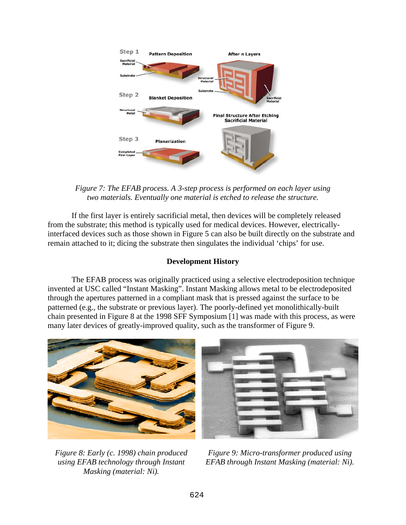

*Figure 7: The EFAB process. A 3-step process is performed on each layer using two materials. Eventually one material is etched to release the structure.* 

If the first layer is entirely sacrificial metal, then devices will be completely released from the substrate; this method is typically used for medical devices. However, electricallyinterfaced devices such as those shown in Figure 5 can also be built directly on the substrate and remain attached to it; dicing the substrate then singulates the individual 'chips' for use.

## **Development History**

The EFAB process was originally practiced using a selective electrodeposition technique invented at USC called "Instant Masking". Instant Masking allows metal to be electrodeposited through the apertures patterned in a compliant mask that is pressed against the surface to be patterned (e.g., the substrate or previous layer). The poorly-defined yet monolithically-built chain presented in Figure 8 at the 1998 SFF Symposium [1] was made with this process, as were many later devices of greatly-improved quality, such as the transformer of Figure 9.





*Figure 8: Early (c. 1998) chain produced using EFAB technology through Instant Masking (material: Ni).*

*Figure 9: Micro-transformer produced using EFAB through Instant Masking (material: Ni).*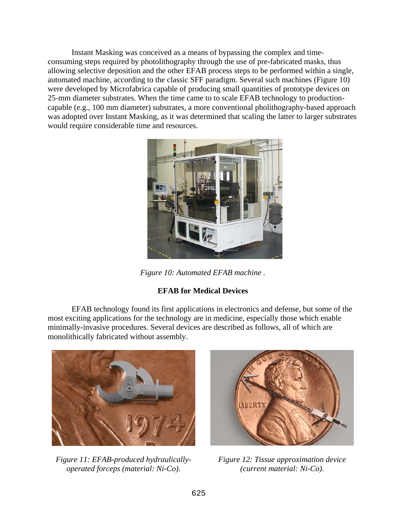Instant Masking was conceived as a means of bypassing the complex and timeconsuming steps required by photolithography through the use of pre-fabricated masks, thus allowing selective deposition and the other EFAB process steps to be performed within a single, automated machine, according to the classic SFF paradigm. Several such machines (Figure 10) were developed by Microfabrica capable of producing small quantities of prototype devices on 25-mm diameter substrates. When the time came to to scale EFAB technology to productioncapable (e.g., 100 mm diameter) substrates, a more conventional pholithography-based approach was adopted over Instant Masking, as it was determined that scaling the latter to larger substrates would require considerable time and resources.



*Figure 10: Automated EFAB machine .* 

# **EFAB for Medical Devices**

EFAB technology found its first applications in electronics and defense, but some of the most exciting applications for the technology are in medicine, especially those which enable minimally-invasive procedures. Several devices are described as follows, all of which are monolithically fabricated without assembly.



*Figure 11: EFAB-produced hydraulicallyoperated forceps (material: Ni-Co).* 



*Figure 12: Tissue approximation device (current material: Ni-Co).*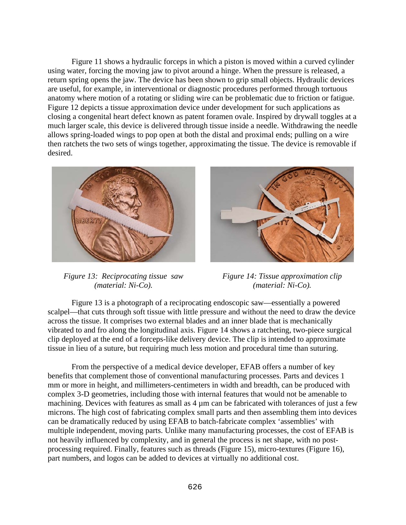Figure 11 shows a hydraulic forceps in which a piston is moved within a curved cylinder using water, forcing the moving jaw to pivot around a hinge. When the pressure is released, a return spring opens the jaw. The device has been shown to grip small objects. Hydraulic devices are useful, for example, in interventional or diagnostic procedures performed through tortuous anatomy where motion of a rotating or sliding wire can be problematic due to friction or fatigue. Figure 12 depicts a tissue approximation device under development for such applications as closing a congenital heart defect known as patent foramen ovale. Inspired by drywall toggles at a much larger scale, this device is delivered through tissue inside a needle. Withdrawing the needle allows spring-loaded wings to pop open at both the distal and proximal ends; pulling on a wire then ratchets the two sets of wings together, approximating the tissue. The device is removable if desired.



*Figure 13: Reciprocating tissue saw (material: Ni-Co).*



*Figure 14: Tissue approximation clip (material: Ni-Co).* 

Figure 13 is a photograph of a reciprocating endoscopic saw—essentially a powered scalpel—that cuts through soft tissue with little pressure and without the need to draw the device across the tissue. It comprises two external blades and an inner blade that is mechanically vibrated to and fro along the longitudinal axis. Figure 14 shows a ratcheting, two-piece surgical clip deployed at the end of a forceps-like delivery device. The clip is intended to approximate tissue in lieu of a suture, but requiring much less motion and procedural time than suturing.

From the perspective of a medical device developer, EFAB offers a number of key benefits that complement those of conventional manufacturing processes. Parts and devices 1 mm or more in height, and millimeters-centimeters in width and breadth, can be produced with complex 3-D geometries, including those with internal features that would not be amenable to machining. Devices with features as small as 4  $\mu$ m can be fabricated with tolerances of just a few microns. The high cost of fabricating complex small parts and then assembling them into devices can be dramatically reduced by using EFAB to batch-fabricate complex 'assemblies' with multiple independent, moving parts. Unlike many manufacturing processes, the cost of EFAB is not heavily influenced by complexity, and in general the process is net shape, with no postprocessing required. Finally, features such as threads (Figure 15), micro-textures (Figure 16), part numbers, and logos can be added to devices at virtually no additional cost.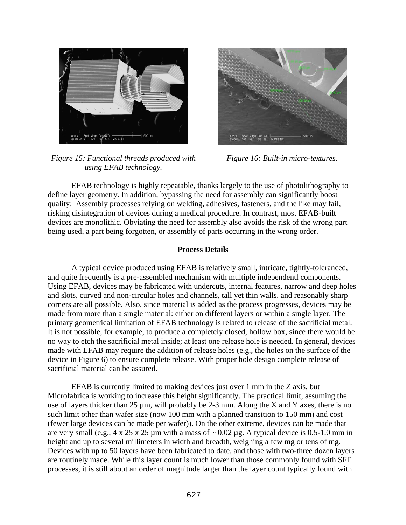

*Figure 15: Functional threads produced with using EFAB technology.* 



*Figure 16: Built-in micro-textures.* 

EFAB technology is highly repeatable, thanks largely to the use of photolithography to define layer geometry. In addition, bypassing the need for assembly can significantly boost quality: Assembly processes relying on welding, adhesives, fasteners, and the like may fail, risking disintegration of devices during a medical procedure. In contrast, most EFAB-built devices are monolithic. Obviating the need for assembly also avoids the risk of the wrong part being used, a part being forgotten, or assembly of parts occurring in the wrong order.

## **Process Details**

A typical device produced using EFAB is relatively small, intricate, tightly-toleranced, and quite frequently is a pre-assembled mechanism with multiple independentl components. Using EFAB, devices may be fabricated with undercuts, internal features, narrow and deep holes and slots, curved and non-circular holes and channels, tall yet thin walls, and reasonably sharp corners are all possible. Also, since material is added as the process progresses, devices may be made from more than a single material: either on different layers or within a single layer. The primary geometrical limitation of EFAB technology is related to release of the sacrificial metal. It is not possible, for example, to produce a completely closed, hollow box, since there would be no way to etch the sacrificial metal inside; at least one release hole is needed. In general, devices made with EFAB may require the addition of release holes (e.g., the holes on the surface of the device in Figure 6) to ensure complete release. With proper hole design complete release of sacrificial material can be assured.

EFAB is currently limited to making devices just over 1 mm in the Z axis, but Microfabrica is working to increase this height significantly. The practical limit, assuming the use of layers thicker than 25  $\mu$ m, will probably be 2-3 mm. Along the X and Y axes, there is no such limit other than wafer size (now 100 mm with a planned transition to 150 mm) and cost (fewer large devices can be made per wafer)). On the other extreme, devices can be made that are very small (e.g.,  $4 \times 25 \times 25 \mu m$  with a mass of  $\sim 0.02 \mu g$ . A typical device is 0.5-1.0 mm in height and up to several millimeters in width and breadth, weighing a few mg or tens of mg. Devices with up to 50 layers have been fabricated to date, and those with two-three dozen layers are routinely made. While this layer count is much lower than those commonly found with SFF processes, it is still about an order of magnitude larger than the layer count typically found with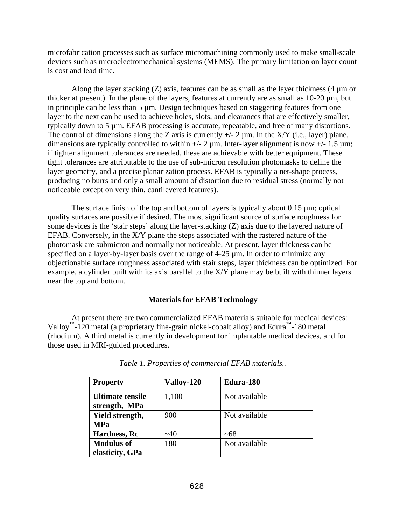microfabrication processes such as surface micromachining commonly used to make small-scale devices such as microelectromechanical systems (MEMS). The primary limitation on layer count is cost and lead time.

Along the layer stacking  $(Z)$  axis, features can be as small as the layer thickness  $(4 \mu m)$  or thicker at present). In the plane of the layers, features at currently are as small as  $10-20 \mu m$ , but in principle can be less than 5  $\mu$ m. Design techniques based on staggering features from one layer to the next can be used to achieve holes, slots, and clearances that are effectively smaller, typically down to 5 µm. EFAB processing is accurate, repeatable, and free of many distortions. The control of dimensions along the Z axis is currently  $\frac{1}{2}$   $\mu$ m. In the X/Y (i.e., layer) plane, dimensions are typically controlled to within  $+/- 2 \mu m$ . Inter-layer alignment is now  $+/- 1.5 \mu m$ ; if tighter alignment tolerances are needed, these are achievable with better equipment. These tight tolerances are attributable to the use of sub-micron resolution photomasks to define the layer geometry, and a precise planarization process. EFAB is typically a net-shape process, producing no burrs and only a small amount of distortion due to residual stress (normally not noticeable except on very thin, cantilevered features).

The surface finish of the top and bottom of layers is typically about  $0.15 \mu m$ ; optical quality surfaces are possible if desired. The most significant source of surface roughness for some devices is the 'stair steps' along the layer-stacking (Z) axis due to the layered nature of EFAB. Conversely, in the X/Y plane the steps associated with the rastered nature of the photomask are submicron and normally not noticeable. At present, layer thickness can be specified on a layer-by-layer basis over the range of 4-25  $\mu$ m. In order to minimize any objectionable surface roughness associated with stair steps, layer thickness can be optimized. For example, a cylinder built with its axis parallel to the X/Y plane may be built with thinner layers near the top and bottom.

## **Materials for EFAB Technology**

At present there are two commercialized EFAB materials suitable for medical devices: Valloy<sup>™</sup>-120 metal (a proprietary fine-grain nickel-cobalt alloy) and Edura<sup>™-180</sup> metal (rhodium). A third metal is currently in development for implantable medical devices, and for those used in MRI-guided procedures.

| <b>Property</b>                          | <b>Valloy-120</b> | Edura-180     |
|------------------------------------------|-------------------|---------------|
| <b>Ultimate tensile</b><br>strength, MPa | 1,100             | Not available |
| Yield strength,<br><b>MPa</b>            | 900               | Not available |
| Hardness, Rc                             | ~140              | ~100          |
| <b>Modulus of</b><br>elasticity, GPa     | 180               | Not available |

|  |  |  | Table 1. Properties of commercial EFAB materials |  |  |
|--|--|--|--------------------------------------------------|--|--|
|--|--|--|--------------------------------------------------|--|--|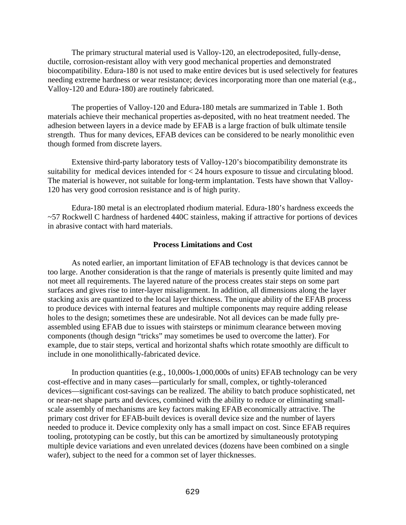The primary structural material used is Valloy-120, an electrodeposited, fully-dense, ductile, corrosion-resistant alloy with very good mechanical properties and demonstrated biocompatibility. Edura-180 is not used to make entire devices but is used selectively for features needing extreme hardness or wear resistance; devices incorporating more than one material (e.g., Valloy-120 and Edura-180) are routinely fabricated.

The properties of Valloy-120 and Edura-180 metals are summarized in Table 1. Both materials achieve their mechanical properties as-deposited, with no heat treatment needed. The adhesion between layers in a device made by EFAB is a large fraction of bulk ultimate tensile strength. Thus for many devices, EFAB devices can be considered to be nearly monolithic even though formed from discrete layers.

Extensive third-party laboratory tests of Valloy-120's biocompatibility demonstrate its suitability for medical devices intended for < 24 hours exposure to tissue and circulating blood. The material is however, not suitable for long-term implantation. Tests have shown that Valloy-120 has very good corrosion resistance and is of high purity.

Edura-180 metal is an electroplated rhodium material. Edura-180's hardness exceeds the ~57 Rockwell C hardness of hardened 440C stainless, making if attractive for portions of devices in abrasive contact with hard materials.

### **Process Limitations and Cost**

As noted earlier, an important limitation of EFAB technology is that devices cannot be too large. Another consideration is that the range of materials is presently quite limited and may not meet all requirements. The layered nature of the process creates stair steps on some part surfaces and gives rise to inter-layer misalignment. In addition, all dimensions along the layer stacking axis are quantized to the local layer thickness. The unique ability of the EFAB process to produce devices with internal features and multiple components may require adding release holes to the design; sometimes these are undesirable. Not all devices can be made fully preassembled using EFAB due to issues with stairsteps or minimum clearance between moving components (though design "tricks" may sometimes be used to overcome the latter). For example, due to stair steps, vertical and horizontal shafts which rotate smoothly are difficult to include in one monolithically-fabricated device.

In production quantities (e.g., 10,000s-1,000,000s of units) EFAB technology can be very cost-effective and in many cases—particularly for small, complex, or tightly-toleranced devices—significant cost-savings can be realized. The ability to batch produce sophisticated, net or near-net shape parts and devices, combined with the ability to reduce or eliminating smallscale assembly of mechanisms are key factors making EFAB economically attractive. The primary cost driver for EFAB-built devices is overall device size and the number of layers needed to produce it. Device complexity only has a small impact on cost. Since EFAB requires tooling, prototyping can be costly, but this can be amortized by simultaneously prototyping multiple device variations and even unrelated devices (dozens have been combined on a single wafer), subject to the need for a common set of layer thicknesses.